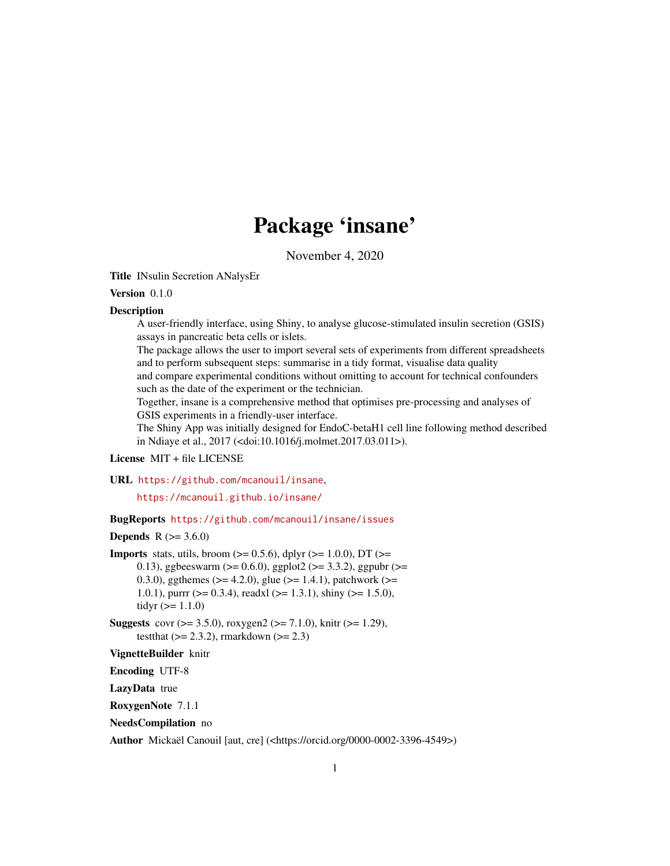# Package 'insane'

November 4, 2020

<span id="page-0-0"></span>Title INsulin Secretion ANalysEr

#### Version 0.1.0

#### **Description**

A user-friendly interface, using Shiny, to analyse glucose-stimulated insulin secretion (GSIS) assays in pancreatic beta cells or islets.

The package allows the user to import several sets of experiments from different spreadsheets and to perform subsequent steps: summarise in a tidy format, visualise data quality and compare experimental conditions without omitting to account for technical confounders

such as the date of the experiment or the technician.

Together, insane is a comprehensive method that optimises pre-processing and analyses of GSIS experiments in a friendly-user interface.

The Shiny App was initially designed for EndoC-betaH1 cell line following method described in Ndiaye et al., 2017 (<doi:10.1016/j.molmet.2017.03.011>).

# License MIT + file LICENSE

URL <https://github.com/mcanouil/insane>,

<https://mcanouil.github.io/insane/>

BugReports <https://github.com/mcanouil/insane/issues>

# **Depends**  $R (= 3.6.0)$

**Imports** stats, utils, broom  $(>= 0.5.6)$ , dplyr  $(>= 1.0.0)$ , DT  $(>= 1.0.0)$ 0.13), ggbeeswarm ( $>= 0.6.0$ ), ggplot2 ( $>= 3.3.2$ ), ggpubr ( $>= 0.6$ 0.3.0), ggthemes ( $>= 4.2.0$ ), glue ( $>= 1.4.1$ ), patchwork ( $>= 0.3.0$ ) 1.0.1), purrr ( $> = 0.3.4$ ), readxl ( $> = 1.3.1$ ), shiny ( $> = 1.5.0$ ), tidyr  $(>= 1.1.0)$ 

**Suggests** covr ( $> = 3.5.0$ ), roxygen2 ( $> = 7.1.0$ ), knitr ( $> = 1.29$ ), testthat  $(>= 2.3.2)$ , rmarkdown  $(>= 2.3)$ 

#### VignetteBuilder knitr

Encoding UTF-8

LazyData true

RoxygenNote 7.1.1

NeedsCompilation no

Author Mickaël Canouil [aut, cre] (<https://orcid.org/0000-0002-3396-4549>)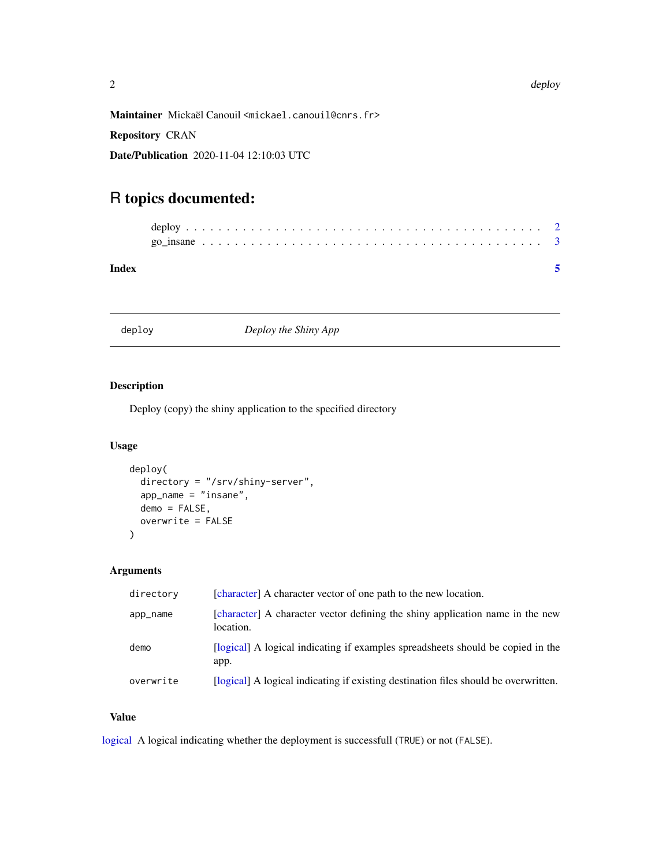<span id="page-1-0"></span>Maintainer Mickaël Canouil <mickael.canouil@cnrs.fr>

Repository CRAN

Date/Publication 2020-11-04 12:10:03 UTC

# R topics documented:

| Index |  |  |  |  |  |  |  |  |  |  |  |  |  |  |  |  |  |  |  |  |  |
|-------|--|--|--|--|--|--|--|--|--|--|--|--|--|--|--|--|--|--|--|--|--|
|       |  |  |  |  |  |  |  |  |  |  |  |  |  |  |  |  |  |  |  |  |  |
|       |  |  |  |  |  |  |  |  |  |  |  |  |  |  |  |  |  |  |  |  |  |

deploy *Deploy the Shiny App*

# Description

Deploy (copy) the shiny application to the specified directory

# Usage

```
deploy(
 directory = "/srv/shiny-server",
  app_name = "insane",
 demo = FALSE,
 overwrite = FALSE
)
```
### Arguments

| directory | [character] A character vector of one path to the new location.                            |
|-----------|--------------------------------------------------------------------------------------------|
| app_name  | [character] A character vector defining the shiny application name in the new<br>location. |
| demo      | [logical] A logical indicating if examples spreadsheets should be copied in the<br>app.    |
| overwrite | [logical] A logical indicating if existing destination files should be overwritten.        |

# Value

[logical](#page-0-0) A logical indicating whether the deployment is successfull (TRUE) or not (FALSE).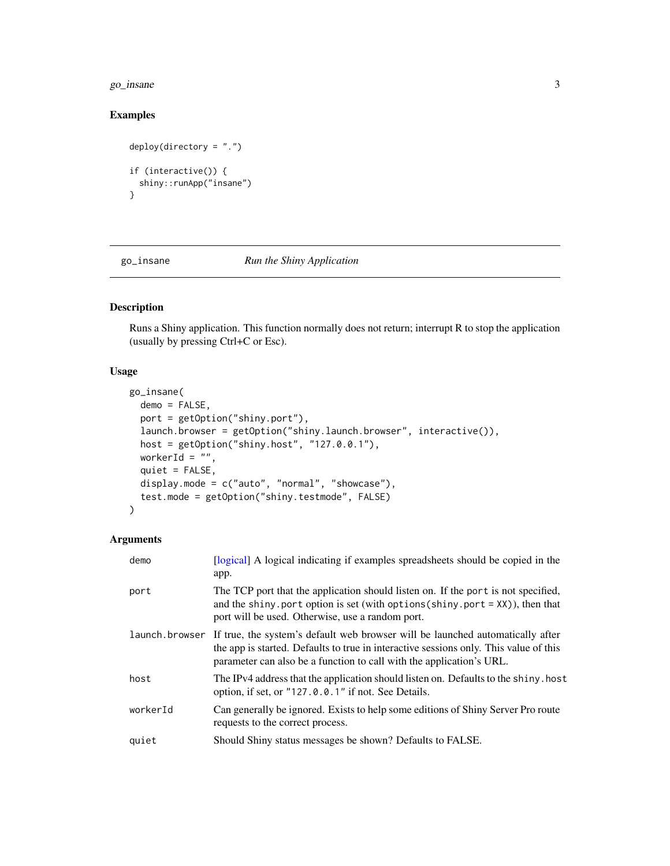#### <span id="page-2-0"></span> $g$ o\_insane  $3$

# Examples

```
deploy(directory = ".")
if (interactive()) {
  shiny::runApp("insane")
}
```
# go\_insane *Run the Shiny Application*

# Description

Runs a Shiny application. This function normally does not return; interrupt R to stop the application (usually by pressing Ctrl+C or Esc).

#### Usage

```
go_insane(
 demo = FALSE,
 port = getOption("shiny.port"),
 launch.browser = getOption("shiny.launch.browser", interactive()),
 host = getOption("shiny.host", "127.0.0.1"),
 workerId = ",
 quiet = FALSE,
 display.mode = c("auto", "normal", "showcase"),
  test.mode = getOption("shiny.testmode", FALSE)
)
```
#### Arguments

| demo     | [logical] A logical indicating if examples spreadsheets should be copied in the<br>app.                                                                                                                                                                        |
|----------|----------------------------------------------------------------------------------------------------------------------------------------------------------------------------------------------------------------------------------------------------------------|
| port     | The TCP port that the application should listen on. If the port is not specified,<br>and the shiny port option is set (with options (shiny port = $XX$ )), then that<br>port will be used. Otherwise, use a random port.                                       |
|          | launch browser If true, the system's default web browser will be launched automatically after<br>the app is started. Defaults to true in interactive sessions only. This value of this<br>parameter can also be a function to call with the application's URL. |
| host     | The IPv4 address that the application should listen on. Defaults to the shiny, host<br>option, if set, or "127.0.0.1" if not. See Details.                                                                                                                     |
| workerId | Can generally be ignored. Exists to help some editions of Shiny Server Pro route<br>requests to the correct process.                                                                                                                                           |
| quiet    | Should Shiny status messages be shown? Defaults to FALSE.                                                                                                                                                                                                      |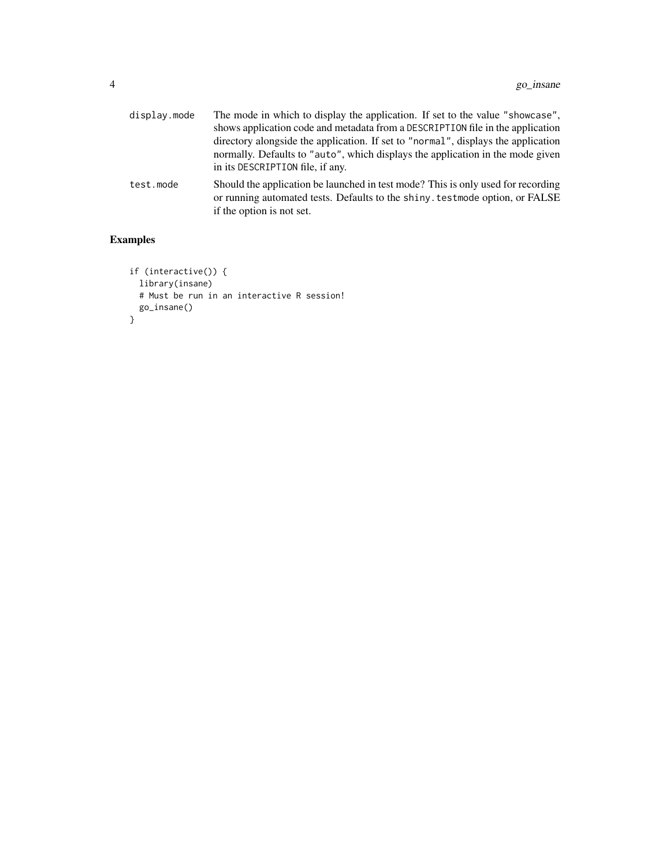| display.mode | The mode in which to display the application. If set to the value "showcase",<br>shows application code and metadata from a DESCRIPTION file in the application<br>directory alongside the application. If set to "normal", displays the application<br>normally. Defaults to "auto", which displays the application in the mode given<br>in its DESCRIPTION file, if any. |
|--------------|----------------------------------------------------------------------------------------------------------------------------------------------------------------------------------------------------------------------------------------------------------------------------------------------------------------------------------------------------------------------------|
| test.mode    | Should the application be launched in test mode? This is only used for recording<br>or running automated tests. Defaults to the shiny, test mode option, or FALSE<br>if the option is not set.                                                                                                                                                                             |

# Examples

```
if (interactive()) {
  library(insane)
 # Must be run in an interactive R session!
 go_insane()
}
```